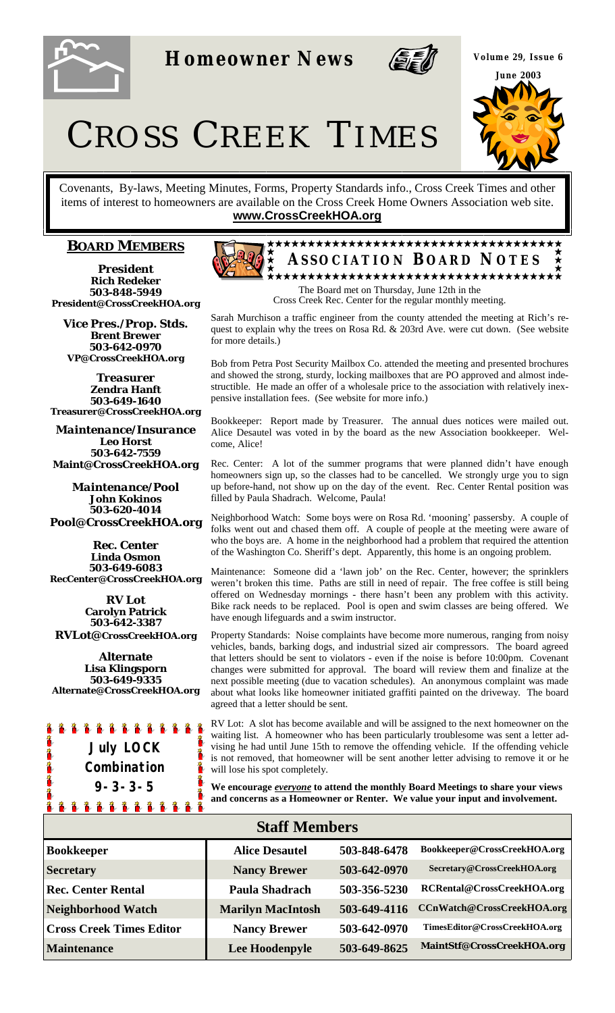

**Homeowner News** 



**Volume 29, Issue 6 June 2003** 

CROSS CREEK TIMES

Covenants, By-laws, Meeting Minutes, Forms, Property Standards info., Cross Creek Times and other items of interest to homeowners are available on the Cross Creek Home Owners Association web site. **www.CrossCreekHOA.org**

## **BOARD MEMBERS**

*President* **Rich Redeker 503-848-5949 President@CrossCreekHOA.org**

*Vice Pres./Prop. Stds.* **Brent Brewer 503-642-0970 VP@CrossCreekHOA.org** 

*Treasurer* **Zendra Hanft 503-649-1640 Treasurer@CrossCreekHOA.org**

*Maintenance/Insurance*  **Leo Horst 503-642-7559 Maint@CrossCreekHOA.org**

*Maintenance/Pool* **John Kokinos 503-620-4014 Pool@CrossCreekHOA.org** 

*Rec. Center* **Linda Osmon 503-649-6083 RecCenter@CrossCreekHOA.org**

*RV Lot* **Carolyn Patrick 503-642-3387 RVLot@CrossCreekHOA.org**

**Alternate Lisa Klingsporn 503-649-9335 Alternate@CrossCreekHOA.org**





Cross Creek Rec. Center for the regular monthly meeting.

Sarah Murchison a traffic engineer from the county attended the meeting at Rich's request to explain why the trees on Rosa Rd. & 203rd Ave. were cut down. (See website for more details.)

Bob from Petra Post Security Mailbox Co. attended the meeting and presented brochures and showed the strong, sturdy, locking mailboxes that are PO approved and almost indestructible. He made an offer of a wholesale price to the association with relatively inexpensive installation fees. (See website for more info.)

Bookkeeper: Report made by Treasurer. The annual dues notices were mailed out. Alice Desautel was voted in by the board as the new Association bookkeeper. Welcome, Alice!

Rec. Center: A lot of the summer programs that were planned didn't have enough homeowners sign up, so the classes had to be cancelled. We strongly urge you to sign up before-hand, not show up on the day of the event. Rec. Center Rental position was filled by Paula Shadrach. Welcome, Paula!

Neighborhood Watch: Some boys were on Rosa Rd. 'mooning' passersby. A couple of folks went out and chased them off. A couple of people at the meeting were aware of who the boys are. A home in the neighborhood had a problem that required the attention of the Washington Co. Sheriff's dept. Apparently, this home is an ongoing problem.

Maintenance: Someone did a 'lawn job' on the Rec. Center, however; the sprinklers weren't broken this time. Paths are still in need of repair. The free coffee is still being offered on Wednesday mornings - there hasn't been any problem with this activity. Bike rack needs to be replaced. Pool is open and swim classes are being offered. We have enough lifeguards and a swim instructor.

Property Standards: Noise complaints have become more numerous, ranging from noisy vehicles, bands, barking dogs, and industrial sized air compressors. The board agreed that letters should be sent to violators - even if the noise is before 10:00pm. Covenant changes were submitted for approval. The board will review them and finalize at the next possible meeting (due to vacation schedules). An anonymous complaint was made about what looks like homeowner initiated graffiti painted on the driveway. The board agreed that a letter should be sent.

RV Lot: A slot has become available and will be assigned to the next homeowner on the waiting list. A homeowner who has been particularly troublesome was sent a letter advising he had until June 15th to remove the offending vehicle. If the offending vehicle is not removed, that homeowner will be sent another letter advising to remove it or he will lose his spot completely.

**We encourage** *everyone* **to attend the monthly Board Meetings to share your views and concerns as a Homeowner or Renter. We value your input and involvement.**

| <b>Staff Members</b>            |                          |              |                               |  |
|---------------------------------|--------------------------|--------------|-------------------------------|--|
| <b>Bookkeeper</b>               | <b>Alice Desautel</b>    | 503-848-6478 | Bookkeeper@CrossCreekHOA.org  |  |
| <b>Secretary</b>                | <b>Nancy Brewer</b>      | 503-642-0970 | Secretary@CrossCreekHOA.org   |  |
| <b>Rec. Center Rental</b>       | Paula Shadrach           | 503-356-5230 | RCRental@CrossCreekHOA.org    |  |
| Neighborhood Watch              | <b>Marilyn MacIntosh</b> | 503-649-4116 | CCnWatch@CrossCreekHOA.org    |  |
| <b>Cross Creek Times Editor</b> | <b>Nancy Brewer</b>      | 503-642-0970 | TimesEditor@CrossCreekHOA.org |  |
| <b>Maintenance</b>              | Lee Hoodenpyle           | 503-649-8625 | MaintStf@CrossCreekHOA.org    |  |